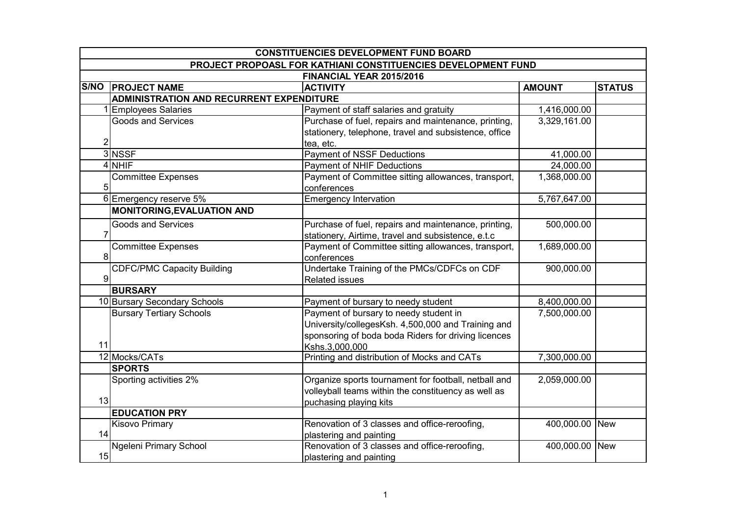|    | <b>CONSTITUENCIES DEVELOPMENT FUND BOARD</b><br>PROJECT PROPOASL FOR KATHIANI CONSTITUENCIES DEVELOPMENT FUND<br>FINANCIAL YEAR 2015/2016 |                                                       |               |               |  |
|----|-------------------------------------------------------------------------------------------------------------------------------------------|-------------------------------------------------------|---------------|---------------|--|
|    |                                                                                                                                           |                                                       |               |               |  |
|    |                                                                                                                                           |                                                       |               |               |  |
|    | <b>S/NO PROJECT NAME</b>                                                                                                                  | <b>ACTIVITY</b>                                       | <b>AMOUNT</b> | <b>STATUS</b> |  |
|    | ADMINISTRATION AND RECURRENT EXPENDITURE                                                                                                  |                                                       |               |               |  |
|    | 1 Employees Salaries                                                                                                                      | Payment of staff salaries and gratuity                | 1,416,000.00  |               |  |
|    | <b>Goods and Services</b>                                                                                                                 | Purchase of fuel, repairs and maintenance, printing,  | 3,329,161.00  |               |  |
|    |                                                                                                                                           | stationery, telephone, travel and subsistence, office |               |               |  |
| 2  |                                                                                                                                           | tea, etc.                                             |               |               |  |
|    | 3 NSSF                                                                                                                                    | <b>Payment of NSSF Deductions</b>                     | 41,000.00     |               |  |
|    | 4 NHIF                                                                                                                                    | <b>Payment of NHIF Deductions</b>                     | 24,000.00     |               |  |
|    | <b>Committee Expenses</b>                                                                                                                 | Payment of Committee sitting allowances, transport,   | 1,368,000.00  |               |  |
| 5  |                                                                                                                                           | conferences                                           |               |               |  |
|    | 6 Emergency reserve 5%                                                                                                                    | <b>Emergency Intervation</b>                          | 5,767,647.00  |               |  |
|    | <b>MONITORING, EVALUATION AND</b>                                                                                                         |                                                       |               |               |  |
|    | <b>Goods and Services</b>                                                                                                                 | Purchase of fuel, repairs and maintenance, printing,  | 500,000.00    |               |  |
|    |                                                                                                                                           | stationery, Airtime, travel and subsistence, e.t.c    |               |               |  |
|    | <b>Committee Expenses</b>                                                                                                                 | Payment of Committee sitting allowances, transport,   | 1,689,000.00  |               |  |
| 8  |                                                                                                                                           | conferences                                           |               |               |  |
|    | <b>CDFC/PMC Capacity Building</b>                                                                                                         | Undertake Training of the PMCs/CDFCs on CDF           | 900,000.00    |               |  |
| 9  |                                                                                                                                           | Related issues                                        |               |               |  |
|    | <b>BURSARY</b>                                                                                                                            |                                                       |               |               |  |
|    | 10 Bursary Secondary Schools                                                                                                              | Payment of bursary to needy student                   | 8,400,000.00  |               |  |
|    | <b>Bursary Tertiary Schools</b>                                                                                                           | Payment of bursary to needy student in                | 7,500,000.00  |               |  |
|    |                                                                                                                                           | University/collegesKsh. 4,500,000 and Training and    |               |               |  |
|    |                                                                                                                                           | sponsoring of boda boda Riders for driving licences   |               |               |  |
| 11 |                                                                                                                                           | Kshs.3,000,000                                        |               |               |  |
|    | 12 Mocks/CATs                                                                                                                             | Printing and distribution of Mocks and CATs           | 7,300,000.00  |               |  |
|    | <b>SPORTS</b>                                                                                                                             |                                                       |               |               |  |
|    | Sporting activities 2%                                                                                                                    | Organize sports tournament for football, netball and  | 2,059,000.00  |               |  |
|    |                                                                                                                                           | volleyball teams within the constituency as well as   |               |               |  |
| 13 |                                                                                                                                           | puchasing playing kits                                |               |               |  |
|    | <b>EDUCATION PRY</b>                                                                                                                      |                                                       |               |               |  |
|    | <b>Kisovo Primary</b>                                                                                                                     | Renovation of 3 classes and office-reroofing,         | 400,000.00    | <b>New</b>    |  |
| 14 |                                                                                                                                           | plastering and painting                               |               |               |  |
|    | Ngeleni Primary School                                                                                                                    | Renovation of 3 classes and office-reroofing,         | 400,000.00    | <b>New</b>    |  |
| 15 |                                                                                                                                           | plastering and painting                               |               |               |  |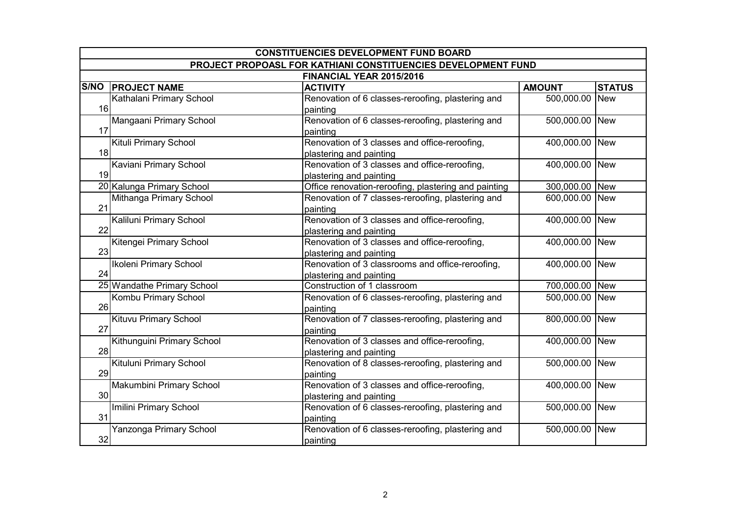| <b>CONSTITUENCIES DEVELOPMENT FUND BOARD</b> |                                                               |                                                                             |                |               |
|----------------------------------------------|---------------------------------------------------------------|-----------------------------------------------------------------------------|----------------|---------------|
|                                              | PROJECT PROPOASL FOR KATHIANI CONSTITUENCIES DEVELOPMENT FUND |                                                                             |                |               |
|                                              |                                                               | FINANCIAL YEAR 2015/2016                                                    |                |               |
|                                              | <b>S/NO PROJECT NAME</b>                                      | <b>ACTIVITY</b>                                                             | <b>AMOUNT</b>  | <b>STATUS</b> |
| 16                                           | Kathalani Primary School                                      | Renovation of 6 classes-reroofing, plastering and<br>painting               | 500,000.00 New |               |
| 17                                           | Mangaani Primary School                                       | Renovation of 6 classes-reroofing, plastering and<br>painting               | 500,000.00 New |               |
| 18                                           | Kituli Primary School                                         | Renovation of 3 classes and office-reroofing,<br>plastering and painting    | 400,000.00 New |               |
| 19                                           | Kaviani Primary School                                        | Renovation of 3 classes and office-reroofing,<br>plastering and painting    | 400,000.00 New |               |
|                                              | 20 Kalunga Primary School                                     | Office renovation-reroofing, plastering and painting                        | 300,000.00 New |               |
| 21                                           | Mithanga Primary School                                       | Renovation of 7 classes-reroofing, plastering and<br>painting               | 600,000.00 New |               |
| 22                                           | Kaliluni Primary School                                       | Renovation of 3 classes and office-reroofing,<br>plastering and painting    | 400,000.00 New |               |
| 23                                           | Kitengei Primary School                                       | Renovation of 3 classes and office-reroofing,<br>plastering and painting    | 400,000.00 New |               |
| 24                                           | Ikoleni Primary School                                        | Renovation of 3 classrooms and office-reroofing,<br>plastering and painting | 400,000.00 New |               |
|                                              | 25 Wandathe Primary School                                    | Construction of 1 classroom                                                 | 700,000.00 New |               |
| 26                                           | Kombu Primary School                                          | Renovation of 6 classes-reroofing, plastering and<br>painting               | 500,000.00 New |               |
| 27                                           | <b>Kituvu Primary School</b>                                  | Renovation of 7 classes-reroofing, plastering and<br>painting               | 800,000.00 New |               |
| 28                                           | Kithunguini Primary School                                    | Renovation of 3 classes and office-reroofing,<br>plastering and painting    | 400,000.00 New |               |
| 29                                           | Kituluni Primary School                                       | Renovation of 8 classes-reroofing, plastering and<br>painting               | 500,000.00 New |               |
| 30                                           | Makumbini Primary School                                      | Renovation of 3 classes and office-reroofing,<br>plastering and painting    | 400,000.00 New |               |
| 31                                           | Imilini Primary School                                        | Renovation of 6 classes-reroofing, plastering and<br>painting               | 500,000.00 New |               |
| 32                                           | Yanzonga Primary School                                       | Renovation of 6 classes-reroofing, plastering and<br>painting               | 500,000.00 New |               |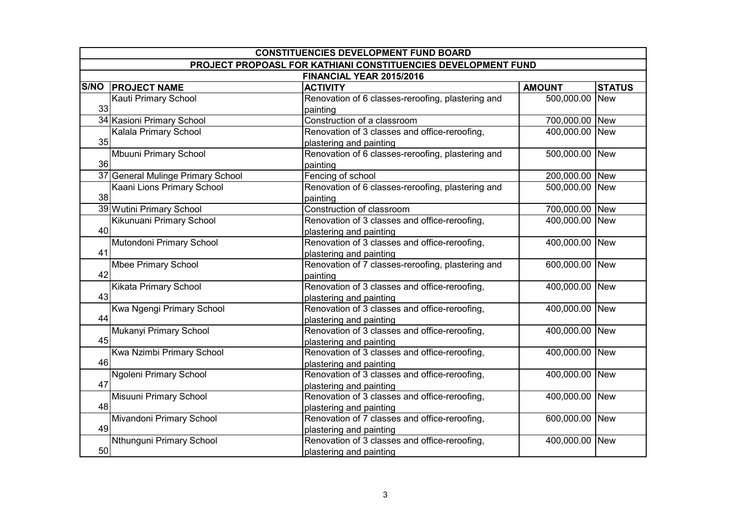| <b>CONSTITUENCIES DEVELOPMENT FUND BOARD</b> |                                                               |                                                                          |                |               |
|----------------------------------------------|---------------------------------------------------------------|--------------------------------------------------------------------------|----------------|---------------|
|                                              | PROJECT PROPOASL FOR KATHIANI CONSTITUENCIES DEVELOPMENT FUND |                                                                          |                |               |
|                                              |                                                               | FINANCIAL YEAR 2015/2016                                                 |                |               |
|                                              | <b>S/NO PROJECT NAME</b>                                      | <b>ACTIVITY</b>                                                          | <b>AMOUNT</b>  | <b>STATUS</b> |
| 33                                           | <b>Kauti Primary School</b>                                   | Renovation of 6 classes-reroofing, plastering and<br>painting            | 500,000.00     | <b>New</b>    |
|                                              | 34 Kasioni Primary School                                     | Construction of a classroom                                              | 700,000.00 New |               |
| 35                                           | Kalala Primary School                                         | Renovation of 3 classes and office-reroofing,<br>plastering and painting | 400,000.00     | <b>New</b>    |
| 36                                           | Mbuuni Primary School                                         | Renovation of 6 classes-reroofing, plastering and<br>painting            | 500,000.00     | <b>New</b>    |
|                                              | 37 General Mulinge Primary School                             | Fencing of school                                                        | 200,000.00     | <b>New</b>    |
| 38                                           | Kaani Lions Primary School                                    | Renovation of 6 classes-reroofing, plastering and<br>painting            | 500,000.00     | <b>New</b>    |
|                                              | 39 Wutini Primary School                                      | Construction of classroom                                                | 700,000.00     | <b>New</b>    |
| 40                                           | Kikunuani Primary School                                      | Renovation of 3 classes and office-reroofing,<br>plastering and painting | 400,000.00     | <b>New</b>    |
| 41                                           | Mutondoni Primary School                                      | Renovation of 3 classes and office-reroofing,<br>plastering and painting | 400,000.00     | <b>New</b>    |
| 42                                           | <b>Mbee Primary School</b>                                    | Renovation of 7 classes-reroofing, plastering and<br>painting            | 600,000.00     | <b>New</b>    |
| 43                                           | Kikata Primary School                                         | Renovation of 3 classes and office-reroofing,<br>plastering and painting | 400,000.00     | <b>New</b>    |
| 44                                           | Kwa Ngengi Primary School                                     | Renovation of 3 classes and office-reroofing,<br>plastering and painting | 400,000.00     | <b>New</b>    |
| 45                                           | Mukanyi Primary School                                        | Renovation of 3 classes and office-reroofing,<br>plastering and painting | 400,000.00     | <b>New</b>    |
| 46                                           | Kwa Nzimbi Primary School                                     | Renovation of 3 classes and office-reroofing,<br>plastering and painting | 400,000.00     | <b>New</b>    |
| 47                                           | Ngoleni Primary School                                        | Renovation of 3 classes and office-reroofing,<br>plastering and painting | 400,000.00     | <b>New</b>    |
| 48                                           | Misuuni Primary School                                        | Renovation of 3 classes and office-reroofing,<br>plastering and painting | 400,000.00     | <b>New</b>    |
| 49                                           | Mivandoni Primary School                                      | Renovation of 7 classes and office-reroofing,<br>plastering and painting | 600,000.00     | <b>New</b>    |
| 50                                           | Nthunguni Primary School                                      | Renovation of 3 classes and office-reroofing,<br>plastering and painting | 400,000.00     | <b>New</b>    |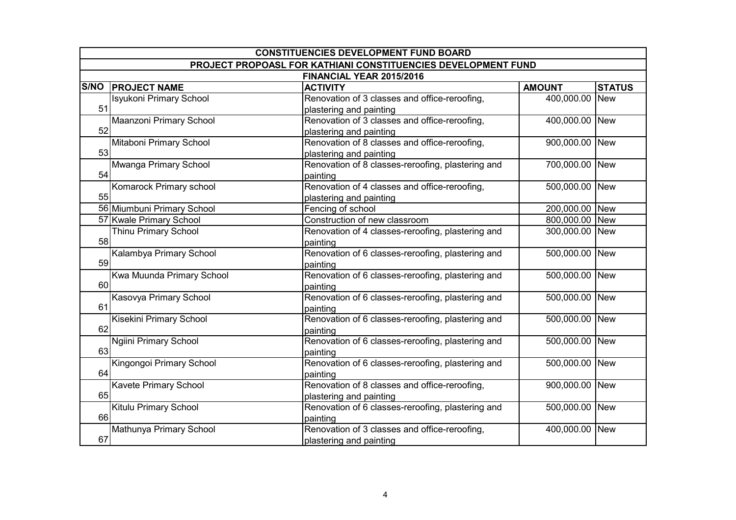| <b>CONSTITUENCIES DEVELOPMENT FUND BOARD</b> |                                                               |                                                   |                |               |
|----------------------------------------------|---------------------------------------------------------------|---------------------------------------------------|----------------|---------------|
|                                              | PROJECT PROPOASL FOR KATHIANI CONSTITUENCIES DEVELOPMENT FUND |                                                   |                |               |
|                                              |                                                               | FINANCIAL YEAR 2015/2016                          |                |               |
| <b>S/NO</b>                                  | <b>PROJECT NAME</b>                                           | <b>ACTIVITY</b>                                   | <b>AMOUNT</b>  | <b>STATUS</b> |
|                                              | <b>Isyukoni Primary School</b>                                | Renovation of 3 classes and office-reroofing,     | 400,000.00     | <b>New</b>    |
| 51                                           |                                                               | plastering and painting                           |                |               |
|                                              | Maanzoni Primary School                                       | Renovation of 3 classes and office-reroofing,     | 400,000.00 New |               |
| 52                                           |                                                               | plastering and painting                           |                |               |
|                                              | Mitaboni Primary School                                       | Renovation of 8 classes and office-reroofing,     | 900,000.00 New |               |
| 53                                           |                                                               | plastering and painting                           |                |               |
|                                              | Mwanga Primary School                                         | Renovation of 8 classes-reroofing, plastering and | 700,000.00 New |               |
| 54                                           |                                                               | painting                                          |                |               |
|                                              | Komarock Primary school                                       | Renovation of 4 classes and office-reroofing,     | 500,000.00 New |               |
| 55                                           |                                                               | plastering and painting                           |                |               |
|                                              | 56 Miumbuni Primary School                                    | Fencing of school                                 | 200,000.00 New |               |
|                                              | 57 Kwale Primary School                                       | Construction of new classroom                     | 800,000.00 New |               |
|                                              | <b>Thinu Primary School</b>                                   | Renovation of 4 classes-reroofing, plastering and | 300,000.00 New |               |
| 58                                           |                                                               | painting                                          |                |               |
|                                              | Kalambya Primary School                                       | Renovation of 6 classes-reroofing, plastering and | 500,000.00 New |               |
| 59                                           |                                                               | painting                                          |                |               |
|                                              | Kwa Muunda Primary School                                     | Renovation of 6 classes-reroofing, plastering and | 500,000.00 New |               |
| 60                                           |                                                               | painting                                          |                |               |
|                                              | Kasovya Primary School                                        | Renovation of 6 classes-reroofing, plastering and | 500,000.00 New |               |
| 61                                           |                                                               | painting                                          |                |               |
|                                              | Kisekini Primary School                                       | Renovation of 6 classes-reroofing, plastering and | 500,000.00 New |               |
| 62                                           |                                                               | painting                                          |                |               |
|                                              | <b>Ngiini Primary School</b>                                  | Renovation of 6 classes-reroofing, plastering and | 500,000.00 New |               |
| 63                                           |                                                               | painting                                          |                |               |
|                                              | Kingongoi Primary School                                      | Renovation of 6 classes-reroofing, plastering and | 500,000.00 New |               |
| 64                                           |                                                               | painting                                          |                |               |
|                                              | <b>Kavete Primary School</b>                                  | Renovation of 8 classes and office-reroofing,     | 900,000.00 New |               |
| 65                                           |                                                               | plastering and painting                           |                |               |
|                                              | Kitulu Primary School                                         | Renovation of 6 classes-reroofing, plastering and | 500,000.00 New |               |
| 66                                           |                                                               | painting                                          |                |               |
|                                              | Mathunya Primary School                                       | Renovation of 3 classes and office-reroofing,     | 400,000.00 New |               |
| 67                                           |                                                               | plastering and painting                           |                |               |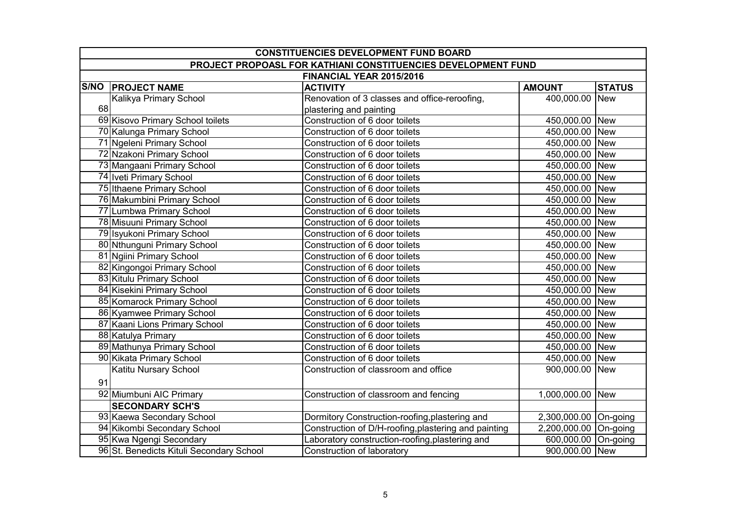| <b>CONSTITUENCIES DEVELOPMENT FUND BOARD</b>                  |                                          |                                                      |                       |               |
|---------------------------------------------------------------|------------------------------------------|------------------------------------------------------|-----------------------|---------------|
| PROJECT PROPOASL FOR KATHIANI CONSTITUENCIES DEVELOPMENT FUND |                                          |                                                      |                       |               |
| FINANCIAL YEAR 2015/2016                                      |                                          |                                                      |                       |               |
|                                                               | <b>S/NO PROJECT NAME</b>                 | <b>ACTIVITY</b>                                      | <b>AMOUNT</b>         | <b>STATUS</b> |
|                                                               | Kalikya Primary School                   | Renovation of 3 classes and office-reroofing,        | 400,000.00 New        |               |
| 68                                                            |                                          | plastering and painting                              |                       |               |
|                                                               | 69 Kisovo Primary School toilets         | Construction of 6 door toilets                       | 450,000.00 New        |               |
|                                                               | 70 Kalunga Primary School                | Construction of 6 door toilets                       | 450,000.00 New        |               |
|                                                               | 71 Ngeleni Primary School                | Construction of 6 door toilets                       | 450,000.00 New        |               |
|                                                               | 72 Nzakoni Primary School                | Construction of 6 door toilets                       | 450,000.00 New        |               |
|                                                               | 73 Mangaani Primary School               | Construction of 6 door toilets                       | 450,000.00 New        |               |
|                                                               | 74 Iveti Primary School                  | Construction of 6 door toilets                       | 450,000.00 New        |               |
|                                                               | 75 Ithaene Primary School                | Construction of 6 door toilets                       | 450,000.00 New        |               |
|                                                               | 76 Makumbini Primary School              | Construction of 6 door toilets                       | 450,000.00 New        |               |
|                                                               | 77 Lumbwa Primary School                 | Construction of 6 door toilets                       | 450,000.00 New        |               |
|                                                               | 78 Misuuni Primary School                | Construction of 6 door toilets                       | 450,000.00 New        |               |
|                                                               | 79 Isyukoni Primary School               | Construction of 6 door toilets                       | 450,000.00 New        |               |
|                                                               | 80 Nthunguni Primary School              | Construction of 6 door toilets                       | 450,000.00 New        |               |
|                                                               | 81 Ngiini Primary School                 | Construction of 6 door toilets                       | 450,000.00 New        |               |
|                                                               | 82 Kingongoi Primary School              | Construction of 6 door toilets                       | 450,000.00 New        |               |
|                                                               | 83 Kitulu Primary School                 | Construction of 6 door toilets                       | 450,000.00 New        |               |
|                                                               | 84 Kisekini Primary School               | Construction of 6 door toilets                       | 450,000.00 New        |               |
|                                                               | 85 Komarock Primary School               | Construction of 6 door toilets                       | 450,000.00 New        |               |
|                                                               | 86 Kyamwee Primary School                | Construction of 6 door toilets                       | 450,000.00 New        |               |
|                                                               | 87 Kaani Lions Primary School            | Construction of 6 door toilets                       | 450,000.00 New        |               |
|                                                               | 88 Katulya Primary                       | Construction of 6 door toilets                       | 450,000.00 New        |               |
|                                                               | 89 Mathunya Primary School               | Construction of 6 door toilets                       | 450,000.00 New        |               |
|                                                               | 90 Kikata Primary School                 | Construction of 6 door toilets                       | 450,000.00 New        |               |
|                                                               | Katitu Nursary School                    | Construction of classroom and office                 | 900,000.00 New        |               |
| 91                                                            |                                          |                                                      |                       |               |
|                                                               | 92 Miumbuni AIC Primary                  | Construction of classroom and fencing                | 1,000,000.00 New      |               |
|                                                               | <b>SECONDARY SCH'S</b>                   |                                                      |                       |               |
|                                                               | 93 Kaewa Secondary School                | Dormitory Construction-roofing, plastering and       | 2,300,000.00 On-going |               |
|                                                               | 94 Kikombi Secondary School              | Construction of D/H-roofing, plastering and painting | 2,200,000.00 On-going |               |
|                                                               | 95 Kwa Ngengi Secondary                  | Laboratory construction-roofing, plastering and      | 600,000.00 On-going   |               |
|                                                               | 96 St. Benedicts Kituli Secondary School | Construction of laboratory                           | 900,000.00 New        |               |